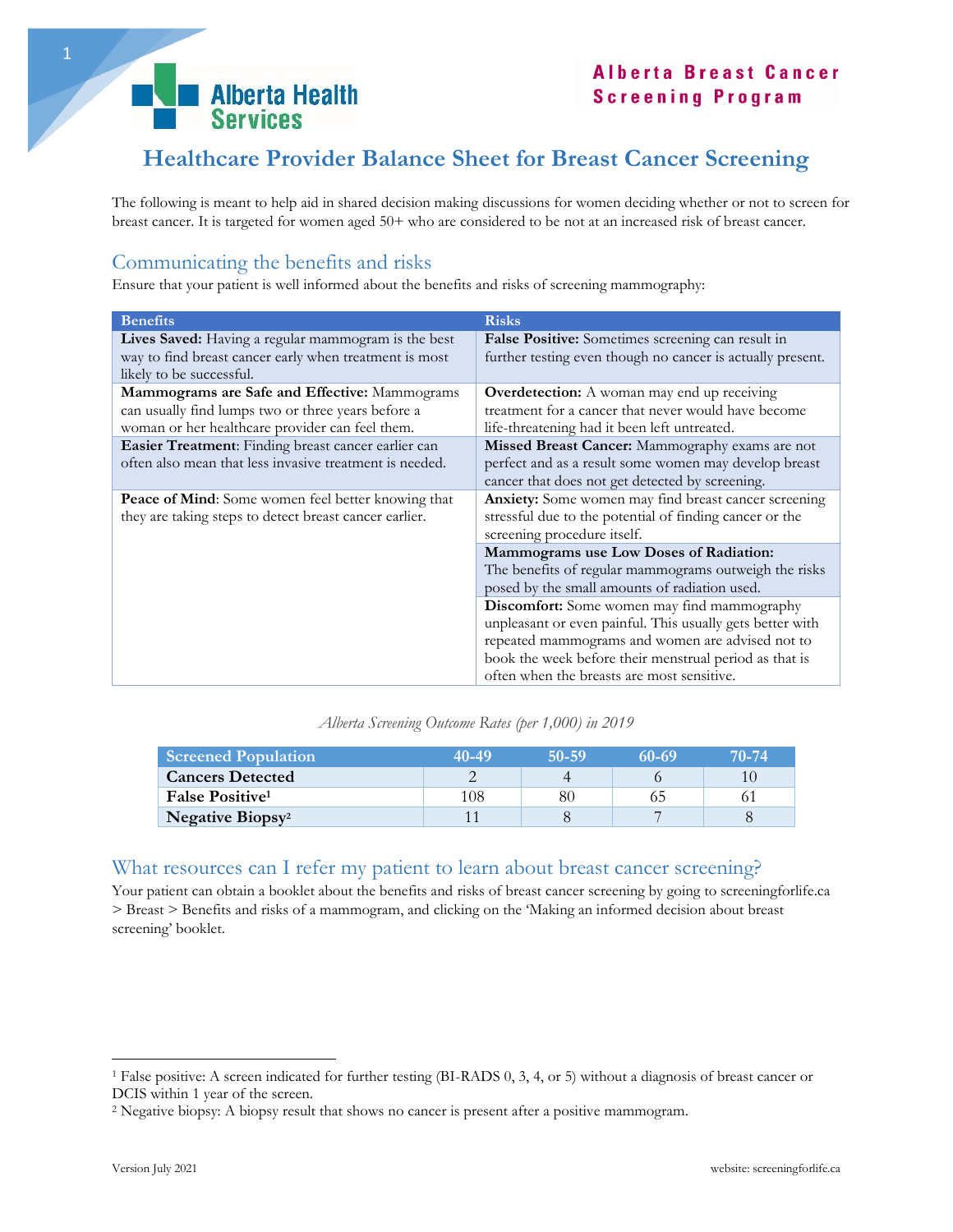

# **Healthcare Provider Balance Sheet for Breast Cancer Screening**

The following is meant to help aid in shared decision making discussions for women deciding whether or not to screen for breast cancer. It is targeted for women aged 50+ who are considered to be not at an increased risk of breast cancer.

### Communicating the benefits and risks

Ensure that your patient is well informed about the benefits and risks of screening mammography:

| <b>Benefits</b><br><b>Risks</b><br>Lives Saved: Having a regular mammogram is the best<br>False Positive: Sometimes screening can result in<br>way to find breast cancer early when treatment is most<br>further testing even though no cancer is actually present.<br>likely to be successful.<br>Mammograms are Safe and Effective: Mammograms<br><b>Overdetection:</b> A woman may end up receiving |                                                       |  |  |
|--------------------------------------------------------------------------------------------------------------------------------------------------------------------------------------------------------------------------------------------------------------------------------------------------------------------------------------------------------------------------------------------------------|-------------------------------------------------------|--|--|
|                                                                                                                                                                                                                                                                                                                                                                                                        |                                                       |  |  |
|                                                                                                                                                                                                                                                                                                                                                                                                        |                                                       |  |  |
|                                                                                                                                                                                                                                                                                                                                                                                                        |                                                       |  |  |
|                                                                                                                                                                                                                                                                                                                                                                                                        |                                                       |  |  |
|                                                                                                                                                                                                                                                                                                                                                                                                        |                                                       |  |  |
| treatment for a cancer that never would have become<br>can usually find lumps two or three years before a                                                                                                                                                                                                                                                                                              |                                                       |  |  |
| woman or her healthcare provider can feel them.<br>life-threatening had it been left untreated.                                                                                                                                                                                                                                                                                                        |                                                       |  |  |
| Easier Treatment: Finding breast cancer earlier can<br>Missed Breast Cancer: Mammography exams are not                                                                                                                                                                                                                                                                                                 |                                                       |  |  |
| often also mean that less invasive treatment is needed.                                                                                                                                                                                                                                                                                                                                                | perfect and as a result some women may develop breast |  |  |
| cancer that does not get detected by screening.                                                                                                                                                                                                                                                                                                                                                        |                                                       |  |  |
|                                                                                                                                                                                                                                                                                                                                                                                                        |                                                       |  |  |
| Anxiety: Some women may find breast cancer screening<br><b>Peace of Mind:</b> Some women feel better knowing that                                                                                                                                                                                                                                                                                      |                                                       |  |  |
| stressful due to the potential of finding cancer or the<br>they are taking steps to detect breast cancer earlier.                                                                                                                                                                                                                                                                                      |                                                       |  |  |
| screening procedure itself.                                                                                                                                                                                                                                                                                                                                                                            |                                                       |  |  |
| Mammograms use Low Doses of Radiation:                                                                                                                                                                                                                                                                                                                                                                 |                                                       |  |  |
| The benefits of regular mammograms outweigh the risks                                                                                                                                                                                                                                                                                                                                                  |                                                       |  |  |
| posed by the small amounts of radiation used.                                                                                                                                                                                                                                                                                                                                                          |                                                       |  |  |
| Discomfort: Some women may find mammography                                                                                                                                                                                                                                                                                                                                                            |                                                       |  |  |
| unpleasant or even painful. This usually gets better with                                                                                                                                                                                                                                                                                                                                              |                                                       |  |  |
|                                                                                                                                                                                                                                                                                                                                                                                                        |                                                       |  |  |
| repeated mammograms and women are advised not to                                                                                                                                                                                                                                                                                                                                                       |                                                       |  |  |
| book the week before their menstrual period as that is                                                                                                                                                                                                                                                                                                                                                 |                                                       |  |  |
| often when the breasts are most sensitive.                                                                                                                                                                                                                                                                                                                                                             |                                                       |  |  |

*Alberta Screening Outcome Rates (per 1,000) in 2019*

| <b>Screened Population</b>          | 40-49 | 50-59 | 60-69 | 70-74 |
|-------------------------------------|-------|-------|-------|-------|
| <b>Cancers Detected</b>             |       |       |       |       |
| <b>False Positive</b> <sup>1</sup>  | 108   | 80    |       |       |
| <b>Negative Biopsy</b> <sup>2</sup> |       |       |       |       |

#### What resources can I refer my patient to learn about breast cancer screening?

Your patient can obtain a booklet about the benefits and risks of breast cancer screening by going to screeningforlife.ca > Breast > Benefits and risks of a mammogram, and clicking on the 'Making an informed decision about breast screening' booklet.

 $\overline{a}$ 

<sup>1</sup> False positive: A screen indicated for further testing (BI-RADS 0, 3, 4, or 5) without a diagnosis of breast cancer or DCIS within 1 year of the screen.

<sup>2</sup> Negative biopsy: A biopsy result that shows no cancer is present after a positive mammogram.